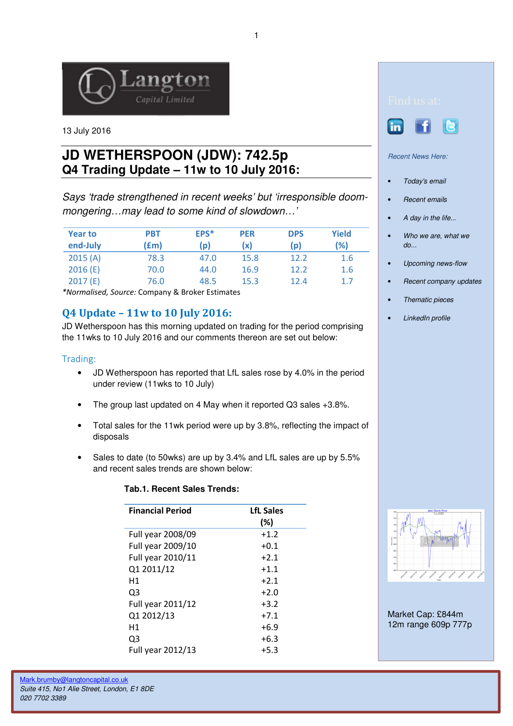

13 July 2016

# **JD WETHERSPOON (JDW): 742.5p Q4 Trading Update – 11w to 10 July 2016:**

Says 'trade strengthened in recent weeks' but 'irresponsible doommongering…may lead to some kind of slowdown…'

| <b>Year to</b> | <b>PBT</b> | EPS* | <b>PER</b> | <b>DPS</b> | Yield |
|----------------|------------|------|------------|------------|-------|
| end-July       | (fm)       | (p)  | (x)        | (p)        | (%)   |
| 2015(A)        | 78.3       | 47.0 | 15.8       | 12.2       | 1.6   |
| 2016(E)        | 70.0       | 44.0 | 16.9       | 12.2       | 1.6   |
| 2017(E)        | 76.0       | 48.5 | 15.3       | 12.4       | 1.7   |

\*Normalised, Source: Company & Broker Estimates

# Q4 Update – 11w to 10 July 2016:

JD Wetherspoon has this morning updated on trading for the period comprising the 11wks to 10 July 2016 and our comments thereon are set out below:

## Trading:

- JD Wetherspoon has reported that LfL sales rose by 4.0% in the period under review (11wks to 10 July)
- The group last updated on 4 May when it reported Q3 sales +3.8%.
- Total sales for the 11wk period were up by 3.8%, reflecting the impact of disposals
- Sales to date (to 50wks) are up by 3.4% and LfL sales are up by 5.5% and recent sales trends are shown below:

#### **Tab.1. Recent Sales Trends:**

| <b>Financial Period</b> | <b>LfL Sales</b><br>(%) |
|-------------------------|-------------------------|
| Full year 2008/09       | $+1.2$                  |
| Full year 2009/10       | $+0.1$                  |
| Full year 2010/11       | $+2.1$                  |
| Q1 2011/12              | $+1.1$                  |
| Н1                      | $+2.1$                  |
| Q3                      | $+2.0$                  |
| Full year 2011/12       | $+3.2$                  |
| Q1 2012/13              | $+7.1$                  |
| Н1                      | $+6.9$                  |
| Q3                      | $+6.3$                  |
| Full year 2012/13       | $+5.3$                  |





Recent News Here:

- Today's email
- Recent emails
- A day in the life...
- Who we are, what we do...
- Upcoming news-flow
- Recent company updates
- Thematic pieces
- LinkedIn profile



Market Cap: £844m 12m range 609p 777p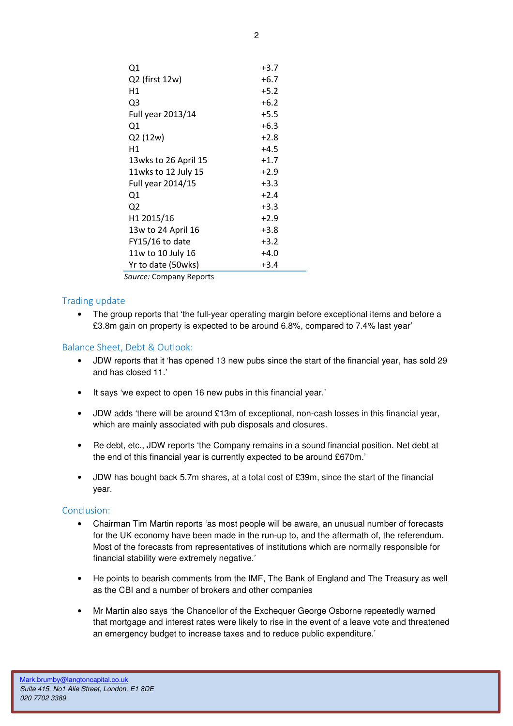| Q1                   | $+3.7$ |
|----------------------|--------|
| Q2 (first 12w)       | $+6.7$ |
| Η1                   | $+5.2$ |
| Q3                   | $+6.2$ |
| Full year 2013/14    | $+5.5$ |
| Q1                   | $+6.3$ |
| Q2 (12w)             | $+2.8$ |
| Η1                   | $+4.5$ |
| 13wks to 26 April 15 | $+1.7$ |
| 11wks to 12 July 15  | $+2.9$ |
| Full year 2014/15    | $+3.3$ |
| Q1                   | $+2.4$ |
| Q2                   | $+3.3$ |
| H1 2015/16           | $+2.9$ |
| 13w to 24 April 16   | $+3.8$ |
| FY15/16 to date      | $+3.2$ |
| 11w to 10 July 16    | $+4.0$ |
| Yr to date (50wks)   | $+3.4$ |
|                      |        |

Source: Company Reports

## Trading update

• The group reports that 'the full-year operating margin before exceptional items and before a £3.8m gain on property is expected to be around 6.8%, compared to 7.4% last year'

#### Balance Sheet, Debt & Outlook:

- JDW reports that it 'has opened 13 new pubs since the start of the financial year, has sold 29 and has closed 11.'
- It says 'we expect to open 16 new pubs in this financial year.'
- JDW adds 'there will be around £13m of exceptional, non-cash losses in this financial year, which are mainly associated with pub disposals and closures.
- Re debt, etc., JDW reports 'the Company remains in a sound financial position. Net debt at the end of this financial year is currently expected to be around £670m.'
- JDW has bought back 5.7m shares, at a total cost of £39m, since the start of the financial year.

#### Conclusion:

- Chairman Tim Martin reports 'as most people will be aware, an unusual number of forecasts for the UK economy have been made in the run-up to, and the aftermath of, the referendum. Most of the forecasts from representatives of institutions which are normally responsible for financial stability were extremely negative.'
- He points to bearish comments from the IMF, The Bank of England and The Treasury as well as the CBI and a number of brokers and other companies
- Mr Martin also says 'the Chancellor of the Exchequer George Osborne repeatedly warned that mortgage and interest rates were likely to rise in the event of a leave vote and threatened an emergency budget to increase taxes and to reduce public expenditure.'